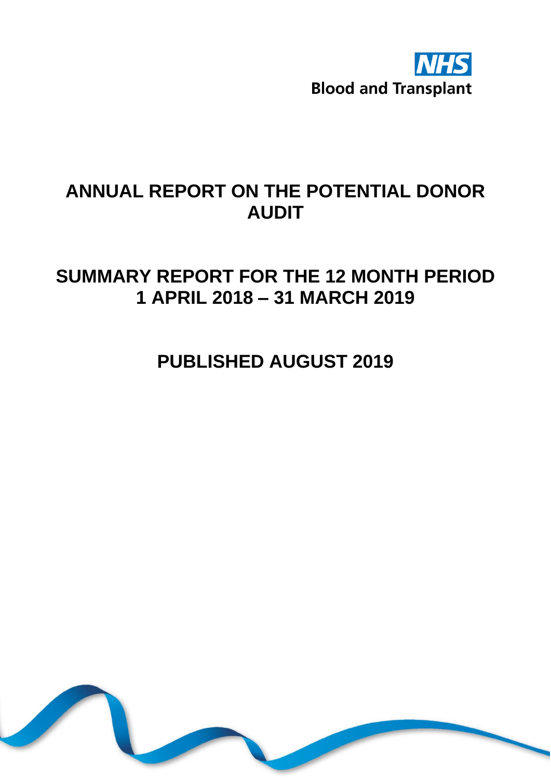

# **ANNUAL REPORT ON THE POTENTIAL DONOR AUDIT**

# **SUMMARY REPORT FOR THE 12 MONTH PERIOD 1 APRIL 2018 – 31 MARCH 2019**

**PUBLISHED AUGUST 2019**

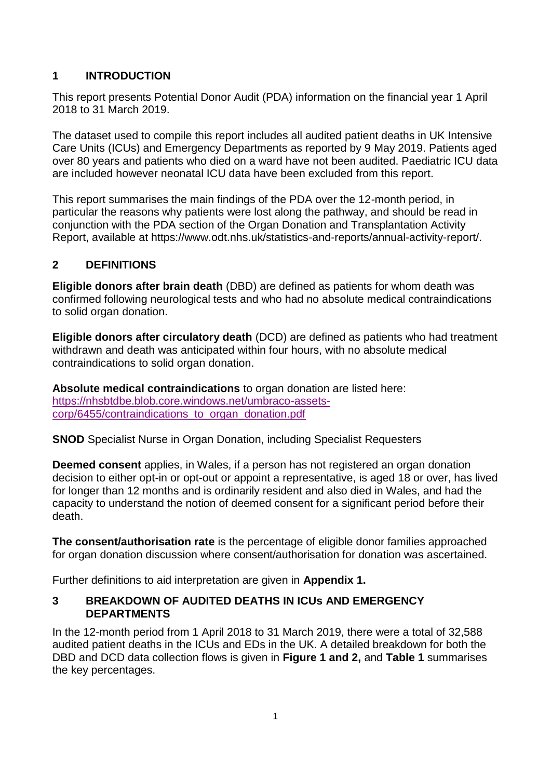# **1 INTRODUCTION**

This report presents Potential Donor Audit (PDA) information on the financial year 1 April 2018 to 31 March 2019.

The dataset used to compile this report includes all audited patient deaths in UK Intensive Care Units (ICUs) and Emergency Departments as reported by 9 May 2019. Patients aged over 80 years and patients who died on a ward have not been audited. Paediatric ICU data are included however neonatal ICU data have been excluded from this report.

This report summarises the main findings of the PDA over the 12-month period, in particular the reasons why patients were lost along the pathway, and should be read in conjunction with the PDA section of the Organ Donation and Transplantation Activity Report, available at https://www.odt.nhs.uk/statistics-and-reports/annual-activity-report/.

## **2 DEFINITIONS**

**Eligible donors after brain death** (DBD) are defined as patients for whom death was confirmed following neurological tests and who had no absolute medical contraindications to solid organ donation.

**Eligible donors after circulatory death** (DCD) are defined as patients who had treatment withdrawn and death was anticipated within four hours, with no absolute medical contraindications to solid organ donation.

**Absolute medical contraindications** to organ donation are listed here: [https://nhsbtdbe.blob.core.windows.net/umbraco-assets](https://nhsbtdbe.blob.core.windows.net/umbraco-assets-corp/6455/contraindications_to_organ_donation.pdf)[corp/6455/contraindications\\_to\\_organ\\_donation.pdf](https://nhsbtdbe.blob.core.windows.net/umbraco-assets-corp/6455/contraindications_to_organ_donation.pdf)

**SNOD** Specialist Nurse in Organ Donation, including Specialist Requesters

**Deemed consent** applies, in Wales, if a person has not registered an organ donation decision to either opt-in or opt-out or appoint a representative, is aged 18 or over, has lived for longer than 12 months and is ordinarily resident and also died in Wales, and had the capacity to understand the notion of deemed consent for a significant period before their death.

**The consent/authorisation rate** is the percentage of eligible donor families approached for organ donation discussion where consent/authorisation for donation was ascertained.

Further definitions to aid interpretation are given in **Appendix 1.**

#### **3 BREAKDOWN OF AUDITED DEATHS IN ICUs AND EMERGENCY DEPARTMENTS**

In the 12-month period from 1 April 2018 to 31 March 2019, there were a total of 32,588 audited patient deaths in the ICUs and EDs in the UK. A detailed breakdown for both the DBD and DCD data collection flows is given in **Figure 1 and 2,** and **Table 1** summarises the key percentages.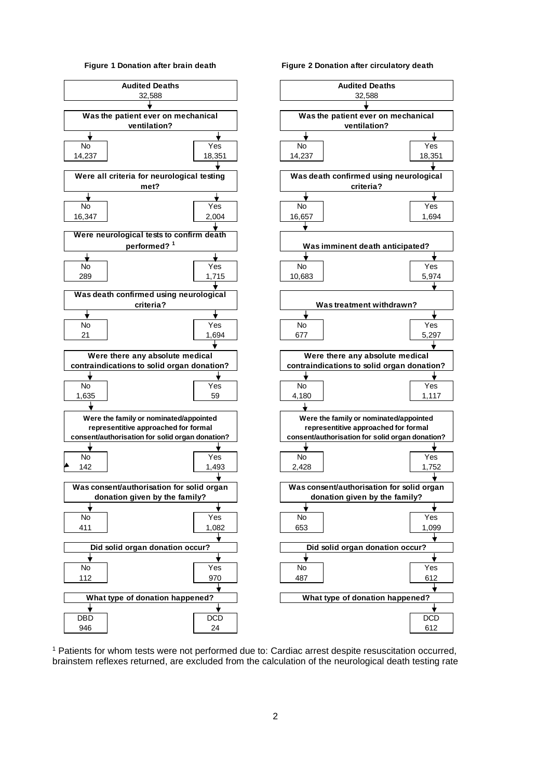



<sup>1</sup> Patients for whom tests were not performed due to: Cardiac arrest despite resuscitation occurred, brainstem reflexes returned, are excluded from the calculation of the neurological death testing rate

2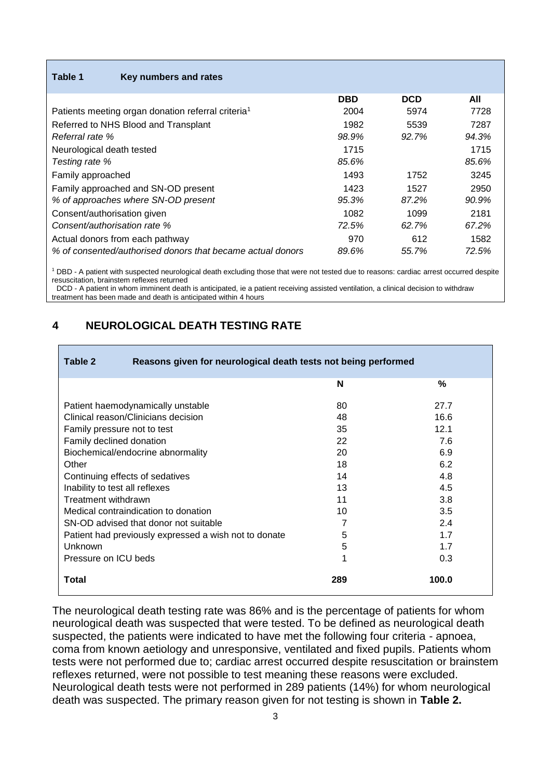| Table 1<br>Key numbers and rates                               |            |            |       |
|----------------------------------------------------------------|------------|------------|-------|
|                                                                | <b>DBD</b> | <b>DCD</b> | All   |
| Patients meeting organ donation referral criteria <sup>1</sup> | 2004       | 5974       | 7728  |
| Referred to NHS Blood and Transplant                           | 1982       | 5539       | 7287  |
| Referral rate %                                                | 98.9%      | 92.7%      | 94.3% |
| Neurological death tested                                      | 1715       |            | 1715  |
| Testing rate %                                                 | 85.6%      |            | 85.6% |
| Family approached                                              | 1493       | 1752       | 3245  |
| Family approached and SN-OD present                            | 1423       | 1527       | 2950  |
| % of approaches where SN-OD present                            | 95.3%      | 87.2%      | 90.9% |
| Consent/authorisation given                                    | 1082       | 1099       | 2181  |
| Consent/authorisation rate %                                   | 72.5%      | 62.7%      | 67.2% |
| Actual donors from each pathway                                | 970        | 612        | 1582  |
| % of consented/authorised donors that became actual donors     | 89.6%      | 55.7%      | 72.5% |

<sup>1</sup> DBD - A patient with suspected neurological death excluding those that were not tested due to reasons: cardiac arrest occurred despite resuscitation, brainstem reflexes returned

<sup>1</sup> DCD - A patient in whom imminent death is anticipated, ie a patient receiving assisted ventilation, a clinical decision to withdraw treatment has been made and death is anticipated within 4 hours

#### **4 NEUROLOGICAL DEATH TESTING RATE**

| Table 2<br>Reasons given for neurological death tests not being performed |     |       |  |
|---------------------------------------------------------------------------|-----|-------|--|
|                                                                           | N   | %     |  |
| Patient haemodynamically unstable                                         | 80  | 27.7  |  |
| Clinical reason/Clinicians decision                                       | 48  | 16.6  |  |
| 35<br>12.1<br>Family pressure not to test                                 |     |       |  |
| Family declined donation                                                  | 22  | 7.6   |  |
| Biochemical/endocrine abnormality                                         | 20  | 6.9   |  |
| Other                                                                     | 18  | 6.2   |  |
| Continuing effects of sedatives                                           | 14  | 4.8   |  |
| Inability to test all reflexes                                            | 13  | 4.5   |  |
| Treatment withdrawn                                                       | 11  | 3.8   |  |
| Medical contraindication to donation                                      | 10  | 3.5   |  |
| SN-OD advised that donor not suitable                                     |     | 2.4   |  |
| Patient had previously expressed a wish not to donate                     | 5   | 1.7   |  |
| Unknown                                                                   | 5   | 1.7   |  |
| Pressure on ICU beds                                                      | 1   | 0.3   |  |
| Total                                                                     | 289 | 100.0 |  |

The neurological death testing rate was 86% and is the percentage of patients for whom neurological death was suspected that were tested. To be defined as neurological death suspected, the patients were indicated to have met the following four criteria - apnoea, coma from known aetiology and unresponsive, ventilated and fixed pupils. Patients whom tests were not performed due to; cardiac arrest occurred despite resuscitation or brainstem reflexes returned, were not possible to test meaning these reasons were excluded. Neurological death tests were not performed in 289 patients (14%) for whom neurological death was suspected. The primary reason given for not testing is shown in **Table 2.**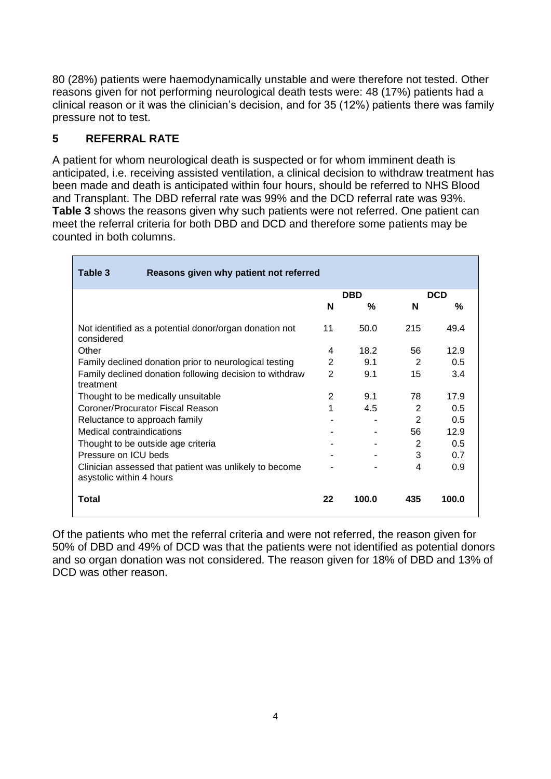80 (28%) patients were haemodynamically unstable and were therefore not tested. Other reasons given for not performing neurological death tests were: 48 (17%) patients had a clinical reason or it was the clinician's decision, and for 35 (12%) patients there was family pressure not to test.

# **5 REFERRAL RATE**

A patient for whom neurological death is suspected or for whom imminent death is anticipated, i.e. receiving assisted ventilation, a clinical decision to withdraw treatment has been made and death is anticipated within four hours, should be referred to NHS Blood and Transplant. The DBD referral rate was 99% and the DCD referral rate was 93%. **Table 3** shows the reasons given why such patients were not referred. One patient can meet the referral criteria for both DBD and DCD and therefore some patients may be counted in both columns.

| Table 3<br>Reasons given why patient not referred                                  |                |            |     |            |
|------------------------------------------------------------------------------------|----------------|------------|-----|------------|
|                                                                                    |                | <b>DBD</b> |     | <b>DCD</b> |
|                                                                                    | N              | %          | N   | %          |
| Not identified as a potential donor/organ donation not<br>considered               | 11             | 50.0       | 215 | 49.4       |
| Other                                                                              | 4              | 18.2       | 56  | 12.9       |
| Family declined donation prior to neurological testing                             | 2              | 9.1        | 2   | 0.5        |
| Family declined donation following decision to withdraw<br>treatment               | $\overline{2}$ | 9.1        | 15  | 3.4        |
| Thought to be medically unsuitable                                                 | 2              | 9.1        | 78  | 17.9       |
| Coroner/Procurator Fiscal Reason                                                   | 1              | 4.5        | 2   | 0.5        |
| Reluctance to approach family                                                      |                |            | 2   | 0.5        |
| Medical contraindications                                                          |                |            | 56  | 12.9       |
| Thought to be outside age criteria                                                 |                |            | 2   | 0.5        |
| Pressure on ICU beds                                                               |                |            | 3   | 0.7        |
| Clinician assessed that patient was unlikely to become<br>asystolic within 4 hours |                |            | 4   | 0.9        |
| Total                                                                              | 22             | 100.0      | 435 | 100.0      |

Of the patients who met the referral criteria and were not referred, the reason given for 50% of DBD and 49% of DCD was that the patients were not identified as potential donors and so organ donation was not considered. The reason given for 18% of DBD and 13% of DCD was other reason.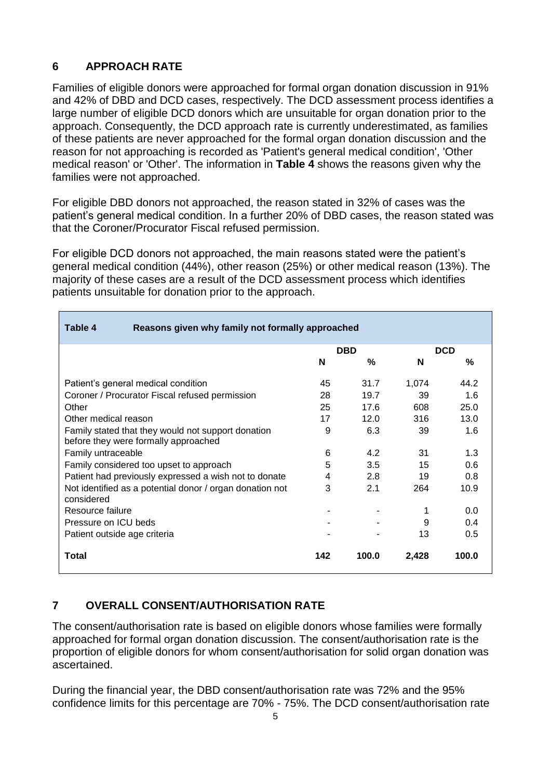# **6 APPROACH RATE**

Families of eligible donors were approached for formal organ donation discussion in 91% and 42% of DBD and DCD cases, respectively. The DCD assessment process identifies a large number of eligible DCD donors which are unsuitable for organ donation prior to the approach. Consequently, the DCD approach rate is currently underestimated, as families of these patients are never approached for the formal organ donation discussion and the reason for not approaching is recorded as 'Patient's general medical condition', 'Other medical reason' or 'Other'. The information in **Table 4** shows the reasons given why the families were not approached.

For eligible DBD donors not approached, the reason stated in 32% of cases was the patient's general medical condition. In a further 20% of DBD cases, the reason stated was that the Coroner/Procurator Fiscal refused permission.

For eligible DCD donors not approached, the main reasons stated were the patient's general medical condition (44%), other reason (25%) or other medical reason (13%). The majority of these cases are a result of the DCD assessment process which identifies patients unsuitable for donation prior to the approach.

| Table 4<br>Reasons given why family not formally approached                                |     |            |       |               |
|--------------------------------------------------------------------------------------------|-----|------------|-------|---------------|
|                                                                                            |     | <b>DBD</b> |       | <b>DCD</b>    |
|                                                                                            | N   | %          | N     | %             |
| Patient's general medical condition                                                        | 45  | 31.7       | 1,074 | 44.2          |
| Coroner / Procurator Fiscal refused permission                                             | 28  | 19.7       | 39    | 1.6           |
| Other                                                                                      | 25  | 17.6       | 608   | 25.0          |
| Other medical reason                                                                       | 17  | 12.0       | 316   | 13.0          |
| Family stated that they would not support donation<br>before they were formally approached | 9   | 6.3        | 39    | 1.6           |
| Family untraceable                                                                         | 6   | 4.2        | 31    | 1.3           |
| Family considered too upset to approach                                                    | 5   | 3.5        | 15    | 0.6           |
| Patient had previously expressed a wish not to donate                                      | 4   | 2.8        | 19    | 0.8           |
| Not identified as a potential donor / organ donation not<br>considered                     | 3   | 2.1        | 264   | 10.9          |
| Resource failure                                                                           |     |            |       | 0.0           |
| Pressure on ICU beds                                                                       |     |            | 9     | 0.4           |
| Patient outside age criteria                                                               |     |            | 13    | $0.5^{\circ}$ |
| <b>Total</b>                                                                               | 142 | 100.0      | 2,428 | 100.0         |

# **7 OVERALL CONSENT/AUTHORISATION RATE**

The consent/authorisation rate is based on eligible donors whose families were formally approached for formal organ donation discussion. The consent/authorisation rate is the proportion of eligible donors for whom consent/authorisation for solid organ donation was ascertained.

During the financial year, the DBD consent/authorisation rate was 72% and the 95% confidence limits for this percentage are 70% - 75%. The DCD consent/authorisation rate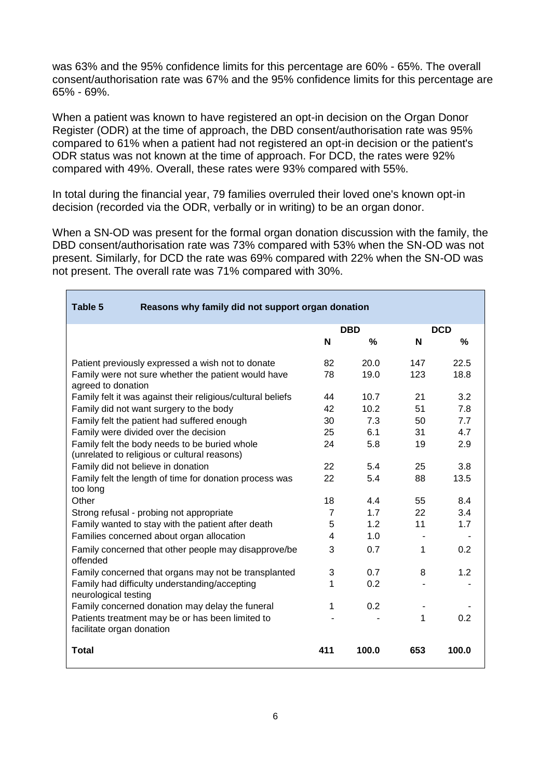was 63% and the 95% confidence limits for this percentage are 60% - 65%. The overall consent/authorisation rate was 67% and the 95% confidence limits for this percentage are 65% - 69%.

When a patient was known to have registered an opt-in decision on the Organ Donor Register (ODR) at the time of approach, the DBD consent/authorisation rate was 95% compared to 61% when a patient had not registered an opt-in decision or the patient's ODR status was not known at the time of approach. For DCD, the rates were 92% compared with 49%. Overall, these rates were 93% compared with 55%.

In total during the financial year, 79 families overruled their loved one's known opt-in decision (recorded via the ODR, verbally or in writing) to be an organ donor.

 $\blacksquare$ 

When a SN-OD was present for the formal organ donation discussion with the family, the DBD consent/authorisation rate was 73% compared with 53% when the SN-OD was not present. Similarly, for DCD the rate was 69% compared with 22% when the SN-OD was not present. The overall rate was 71% compared with 30%.

| Table 5<br>Reasons why family did not support organ donation                                  |                |            |     |            |
|-----------------------------------------------------------------------------------------------|----------------|------------|-----|------------|
|                                                                                               |                | <b>DBD</b> |     | <b>DCD</b> |
|                                                                                               | N              | %          | N   | $\%$       |
| Patient previously expressed a wish not to donate                                             | 82             | 20.0       | 147 | 22.5       |
| Family were not sure whether the patient would have<br>agreed to donation                     | 78             | 19.0       | 123 | 18.8       |
| Family felt it was against their religious/cultural beliefs                                   | 44             | 10.7       | 21  | 3.2        |
| Family did not want surgery to the body                                                       | 42             | 10.2       | 51  | 7.8        |
| Family felt the patient had suffered enough                                                   | 30             | 7.3        | 50  | 7.7        |
| Family were divided over the decision                                                         | 25             | 6.1        | 31  | 4.7        |
| Family felt the body needs to be buried whole<br>(unrelated to religious or cultural reasons) | 24             | 5.8        | 19  | 2.9        |
| Family did not believe in donation                                                            | 22             | 5.4        | 25  | 3.8        |
| Family felt the length of time for donation process was<br>too long                           |                | 5.4        | 88  | 13.5       |
| Other                                                                                         | 18             | 4.4        | 55  | 8.4        |
| Strong refusal - probing not appropriate                                                      | 7              | 1.7        | 22  | 3.4        |
| Family wanted to stay with the patient after death                                            | 5              | 1.2        | 11  | 1.7        |
| Families concerned about organ allocation                                                     | $\overline{4}$ | 1.0        |     |            |
| Family concerned that other people may disapprove/be<br>offended                              | 3              | 0.7        | 1   | 0.2        |
| Family concerned that organs may not be transplanted                                          | 3              | 0.7        | 8   | 1.2        |
| Family had difficulty understanding/accepting<br>neurological testing                         |                | 0.2        |     |            |
| Family concerned donation may delay the funeral                                               |                | 0.2        |     |            |
| Patients treatment may be or has been limited to<br>facilitate organ donation                 |                |            | 1   | 0.2        |
| <b>Total</b>                                                                                  | 411            | 100.0      | 653 | 100.0      |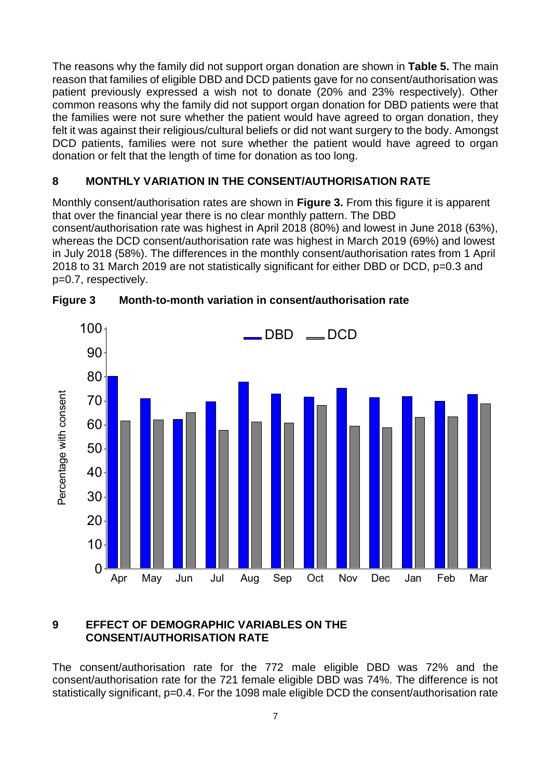The reasons why the family did not support organ donation are shown in **Table 5.** The main reason that families of eligible DBD and DCD patients gave for no consent/authorisation was patient previously expressed a wish not to donate (20% and 23% respectively). Other common reasons why the family did not support organ donation for DBD patients were that the families were not sure whether the patient would have agreed to organ donation, they felt it was against their religious/cultural beliefs or did not want surgery to the body. Amongst DCD patients, families were not sure whether the patient would have agreed to organ donation or felt that the length of time for donation as too long.

## **8 MONTHLY VARIATION IN THE CONSENT/AUTHORISATION RATE**

Monthly consent/authorisation rates are shown in **Figure 3.** From this figure it is apparent that over the financial year there is no clear monthly pattern. The DBD consent/authorisation rate was highest in April 2018 (80%) and lowest in June 2018 (63%), whereas the DCD consent/authorisation rate was highest in March 2019 (69%) and lowest in July 2018 (58%). The differences in the monthly consent/authorisation rates from 1 April 2018 to 31 March 2019 are not statistically significant for either DBD or DCD, p=0.3 and p=0.7, respectively.



**Figure 3 Month-to-month variation in consent/authorisation rate**

## **9 EFFECT OF DEMOGRAPHIC VARIABLES ON THE CONSENT/AUTHORISATION RATE**

The consent/authorisation rate for the 772 male eligible DBD was 72% and the consent/authorisation rate for the 721 female eligible DBD was 74%. The difference is not statistically significant, p=0.4. For the 1098 male eligible DCD the consent/authorisation rate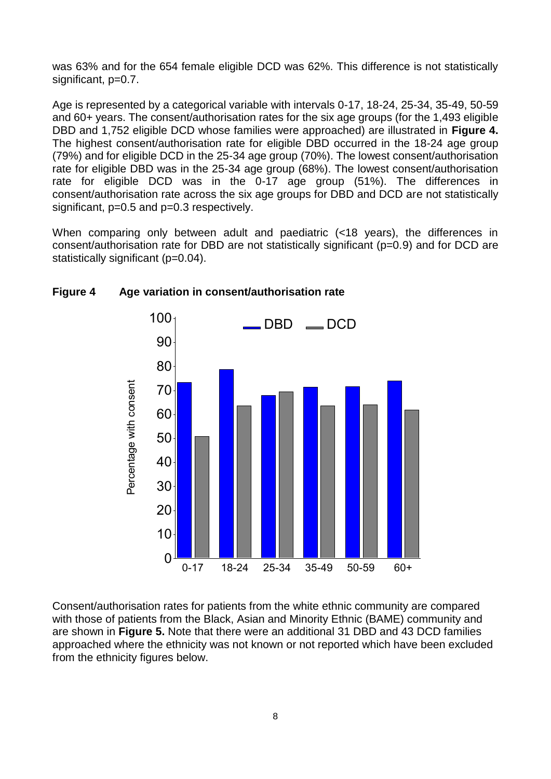was 63% and for the 654 female eligible DCD was 62%. This difference is not statistically significant, p=0.7.

Age is represented by a categorical variable with intervals 0-17, 18-24, 25-34, 35-49, 50-59 and 60+ years. The consent/authorisation rates for the six age groups (for the 1,493 eligible DBD and 1,752 eligible DCD whose families were approached) are illustrated in **Figure 4.** The highest consent/authorisation rate for eligible DBD occurred in the 18-24 age group (79%) and for eligible DCD in the 25-34 age group (70%). The lowest consent/authorisation rate for eligible DBD was in the 25-34 age group (68%). The lowest consent/authorisation rate for eligible DCD was in the 0-17 age group (51%). The differences in consent/authorisation rate across the six age groups for DBD and DCD are not statistically significant, p=0.5 and p=0.3 respectively.

When comparing only between adult and paediatric (<18 years), the differences in consent/authorisation rate for DBD are not statistically significant (p=0.9) and for DCD are statistically significant (p=0.04).



#### **Figure 4 Age variation in consent/authorisation rate**

Consent/authorisation rates for patients from the white ethnic community are compared with those of patients from the Black, Asian and Minority Ethnic (BAME) community and are shown in **Figure 5.** Note that there were an additional 31 DBD and 43 DCD families approached where the ethnicity was not known or not reported which have been excluded from the ethnicity figures below.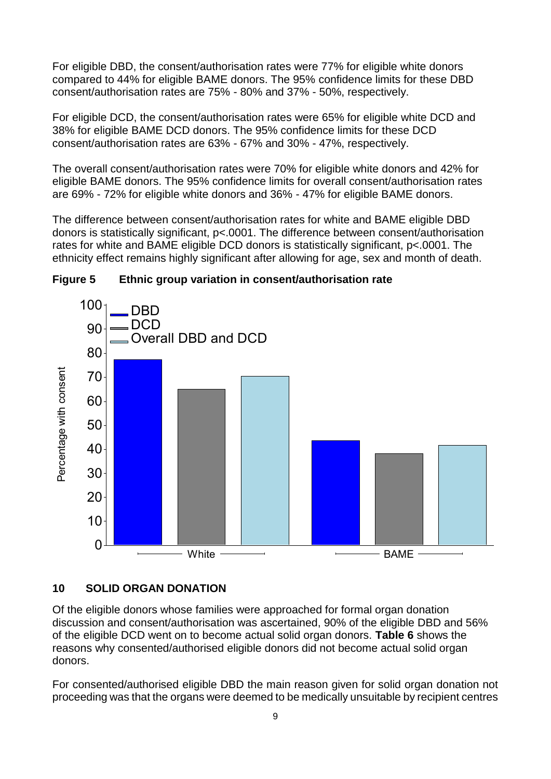For eligible DBD, the consent/authorisation rates were 77% for eligible white donors compared to 44% for eligible BAME donors. The 95% confidence limits for these DBD consent/authorisation rates are 75% - 80% and 37% - 50%, respectively.

For eligible DCD, the consent/authorisation rates were 65% for eligible white DCD and 38% for eligible BAME DCD donors. The 95% confidence limits for these DCD consent/authorisation rates are 63% - 67% and 30% - 47%, respectively.

The overall consent/authorisation rates were 70% for eligible white donors and 42% for eligible BAME donors. The 95% confidence limits for overall consent/authorisation rates are 69% - 72% for eligible white donors and 36% - 47% for eligible BAME donors.

The difference between consent/authorisation rates for white and BAME eligible DBD donors is statistically significant, p<.0001. The difference between consent/authorisation rates for white and BAME eligible DCD donors is statistically significant, p<.0001. The ethnicity effect remains highly significant after allowing for age, sex and month of death.





#### **10 SOLID ORGAN DONATION**

Of the eligible donors whose families were approached for formal organ donation discussion and consent/authorisation was ascertained, 90% of the eligible DBD and 56% of the eligible DCD went on to become actual solid organ donors. **Table 6** shows the reasons why consented/authorised eligible donors did not become actual solid organ donors.

For consented/authorised eligible DBD the main reason given for solid organ donation not proceeding was that the organs were deemed to be medically unsuitable by recipient centres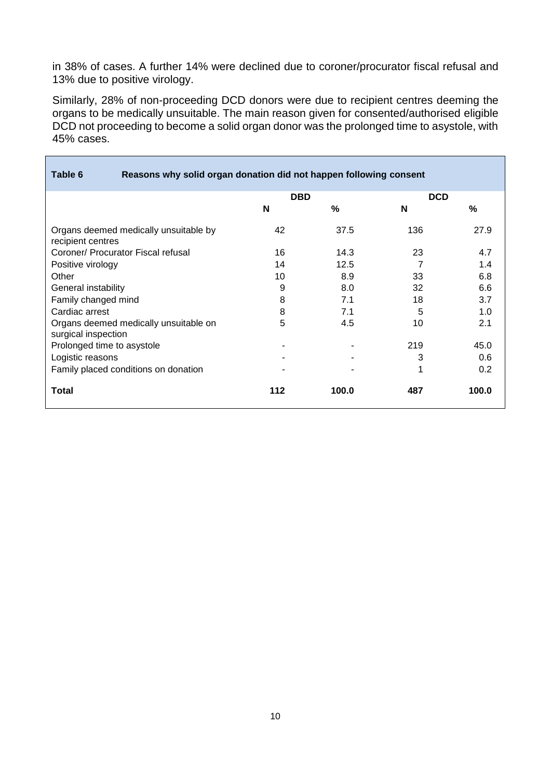in 38% of cases. A further 14% were declined due to coroner/procurator fiscal refusal and 13% due to positive virology.

Similarly, 28% of non-proceeding DCD donors were due to recipient centres deeming the organs to be medically unsuitable. The main reason given for consented/authorised eligible DCD not proceeding to become a solid organ donor was the prolonged time to asystole, with 45% cases.

| Table 6<br>Reasons why solid organ donation did not happen following consent |            |       |            |       |
|------------------------------------------------------------------------------|------------|-------|------------|-------|
|                                                                              | <b>DBD</b> |       | <b>DCD</b> |       |
|                                                                              | N          | %     | N          | %     |
| Organs deemed medically unsuitable by<br>recipient centres                   | 42         | 37.5  | 136        | 27.9  |
| Coroner/ Procurator Fiscal refusal                                           | 16         | 14.3  | 23         | 4.7   |
| Positive virology                                                            | 14         | 12.5  |            | 1.4   |
| Other                                                                        | 10         | 8.9   | 33         | 6.8   |
| General instability                                                          | 9          | 8.0   | 32         | 6.6   |
| Family changed mind                                                          | 8          | 7.1   | 18         | 3.7   |
| Cardiac arrest                                                               | 8          | 7.1   | 5          | 1.0   |
| Organs deemed medically unsuitable on<br>surgical inspection                 | 5          | 4.5   | 10         | 2.1   |
| Prolonged time to asystole                                                   |            |       | 219        | 45.0  |
| Logistic reasons                                                             |            |       | 3          | 0.6   |
| Family placed conditions on donation                                         |            |       | 1          | 0.2   |
| <b>Total</b>                                                                 | 112        | 100.0 | 487        | 100.0 |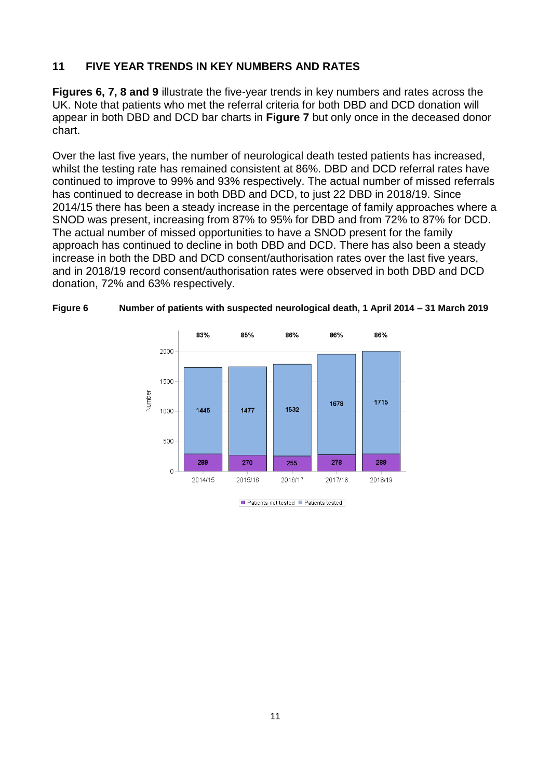#### **11 FIVE YEAR TRENDS IN KEY NUMBERS AND RATES**

**Figures 6, 7, 8 and 9** illustrate the five-year trends in key numbers and rates across the UK. Note that patients who met the referral criteria for both DBD and DCD donation will appear in both DBD and DCD bar charts in **Figure 7** but only once in the deceased donor chart.

Over the last five years, the number of neurological death tested patients has increased, whilst the testing rate has remained consistent at 86%. DBD and DCD referral rates have continued to improve to 99% and 93% respectively. The actual number of missed referrals has continued to decrease in both DBD and DCD, to just 22 DBD in 2018/19. Since 2014/15 there has been a steady increase in the percentage of family approaches where a SNOD was present, increasing from 87% to 95% for DBD and from 72% to 87% for DCD. The actual number of missed opportunities to have a SNOD present for the family approach has continued to decline in both DBD and DCD. There has also been a steady increase in both the DBD and DCD consent/authorisation rates over the last five years, and in 2018/19 record consent/authorisation rates were observed in both DBD and DCD donation, 72% and 63% respectively.



**Figure 6 Number of patients with suspected neurological death, 1 April 2014 – 31 March 2019**

<sup>■</sup> Patients not tested ■ Patients tested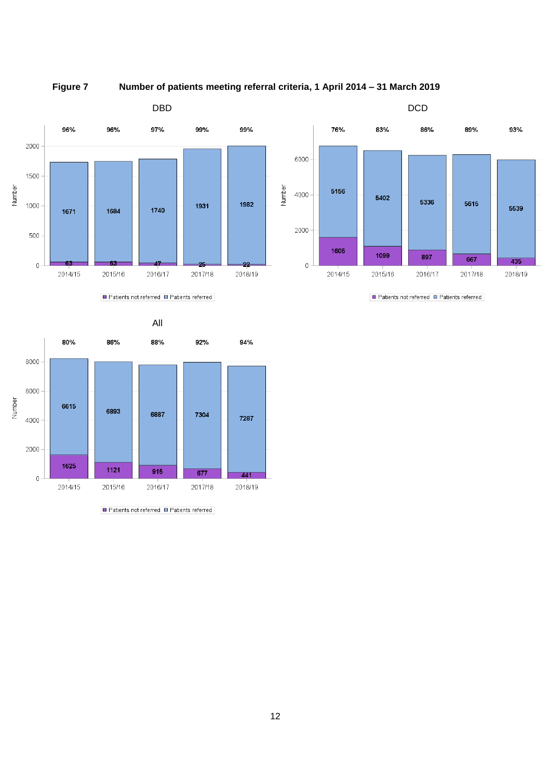



Patients not referred **D** Patients referred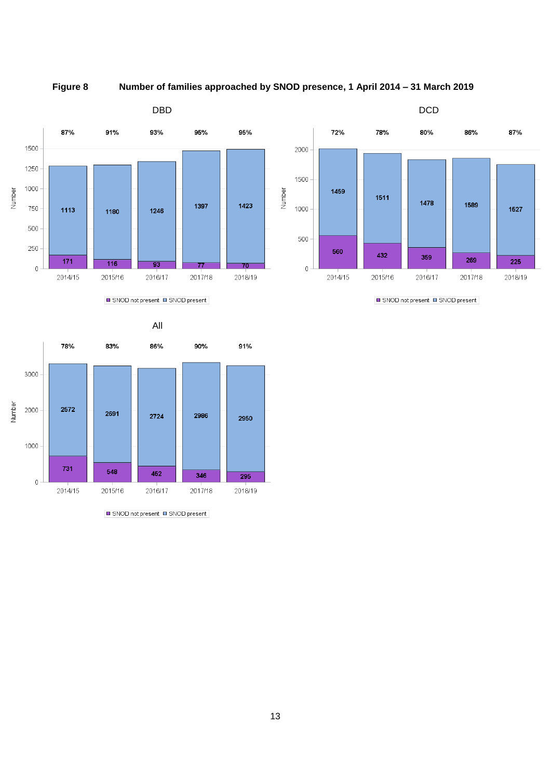**Figure 8 Number of families approached by SNOD presence, 1 April 2014 – 31 March 2019**



SNOD not present SNOD present



SNOD not present SNOD present



SNOD not present SNOD present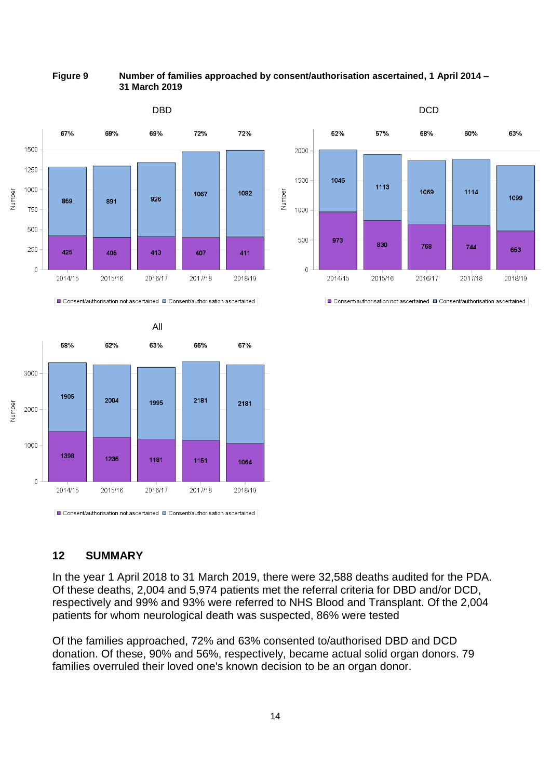**Figure 9 Number of families approached by consent/authorisation ascertained, 1 April 2014 – 31 March 2019**



## **12 SUMMARY**

In the year 1 April 2018 to 31 March 2019, there were 32,588 deaths audited for the PDA. Of these deaths, 2,004 and 5,974 patients met the referral criteria for DBD and/or DCD, respectively and 99% and 93% were referred to NHS Blood and Transplant. Of the 2,004 patients for whom neurological death was suspected, 86% were tested

Of the families approached, 72% and 63% consented to/authorised DBD and DCD donation. Of these, 90% and 56%, respectively, became actual solid organ donors. 79 families overruled their loved one's known decision to be an organ donor.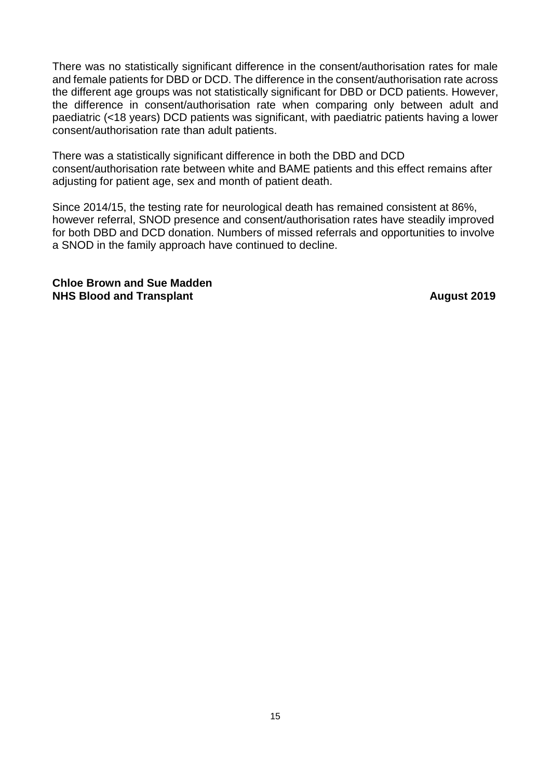There was no statistically significant difference in the consent/authorisation rates for male and female patients for DBD or DCD. The difference in the consent/authorisation rate across the different age groups was not statistically significant for DBD or DCD patients. However, the difference in consent/authorisation rate when comparing only between adult and paediatric (<18 years) DCD patients was significant, with paediatric patients having a lower consent/authorisation rate than adult patients.

There was a statistically significant difference in both the DBD and DCD consent/authorisation rate between white and BAME patients and this effect remains after adjusting for patient age, sex and month of patient death.

Since 2014/15, the testing rate for neurological death has remained consistent at 86%, however referral, SNOD presence and consent/authorisation rates have steadily improved for both DBD and DCD donation. Numbers of missed referrals and opportunities to involve a SNOD in the family approach have continued to decline.

**Chloe Brown and Sue Madden NHS Blood and Transplant August** 2019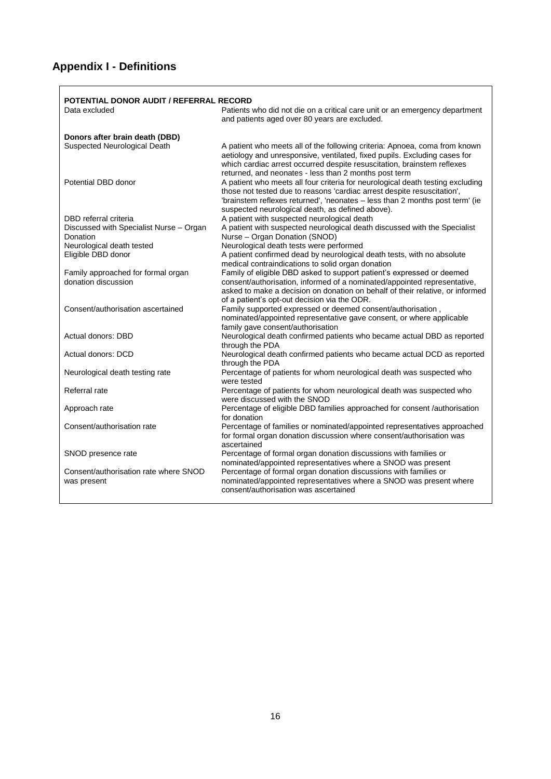# **Appendix I - Definitions**

|                                                           | POTENTIAL DONOR AUDIT / REFERRAL RECORD                                                                                                                                                                                                                                                       |
|-----------------------------------------------------------|-----------------------------------------------------------------------------------------------------------------------------------------------------------------------------------------------------------------------------------------------------------------------------------------------|
| Data excluded                                             | Patients who did not die on a critical care unit or an emergency department<br>and patients aged over 80 years are excluded.                                                                                                                                                                  |
| Donors after brain death (DBD)                            |                                                                                                                                                                                                                                                                                               |
| Suspected Neurological Death                              | A patient who meets all of the following criteria: Apnoea, coma from known<br>aetiology and unresponsive, ventilated, fixed pupils. Excluding cases for<br>which cardiac arrest occurred despite resuscitation, brainstem reflexes<br>returned, and neonates - less than 2 months post term   |
| Potential DBD donor                                       | A patient who meets all four criteria for neurological death testing excluding<br>those not tested due to reasons 'cardiac arrest despite resuscitation',<br>'brainstem reflexes returned', 'neonates - less than 2 months post term' (ie<br>suspected neurological death, as defined above). |
| DBD referral criteria                                     | A patient with suspected neurological death                                                                                                                                                                                                                                                   |
| Discussed with Specialist Nurse - Organ<br>Donation       | A patient with suspected neurological death discussed with the Specialist<br>Nurse - Organ Donation (SNOD)                                                                                                                                                                                    |
| Neurological death tested                                 | Neurological death tests were performed                                                                                                                                                                                                                                                       |
| Eligible DBD donor                                        | A patient confirmed dead by neurological death tests, with no absolute<br>medical contraindications to solid organ donation                                                                                                                                                                   |
| Family approached for formal organ<br>donation discussion | Family of eligible DBD asked to support patient's expressed or deemed<br>consent/authorisation, informed of a nominated/appointed representative,<br>asked to make a decision on donation on behalf of their relative, or informed<br>of a patient's opt-out decision via the ODR.            |
| Consent/authorisation ascertained                         | Family supported expressed or deemed consent/authorisation,<br>nominated/appointed representative gave consent, or where applicable<br>family gave consent/authorisation                                                                                                                      |
| Actual donors: DBD                                        | Neurological death confirmed patients who became actual DBD as reported<br>through the PDA                                                                                                                                                                                                    |
| Actual donors: DCD                                        | Neurological death confirmed patients who became actual DCD as reported<br>through the PDA                                                                                                                                                                                                    |
| Neurological death testing rate                           | Percentage of patients for whom neurological death was suspected who<br>were tested                                                                                                                                                                                                           |
| Referral rate                                             | Percentage of patients for whom neurological death was suspected who<br>were discussed with the SNOD                                                                                                                                                                                          |
| Approach rate                                             | Percentage of eligible DBD families approached for consent /authorisation<br>for donation                                                                                                                                                                                                     |
| Consent/authorisation rate                                | Percentage of families or nominated/appointed representatives approached<br>for formal organ donation discussion where consent/authorisation was<br>ascertained                                                                                                                               |
| SNOD presence rate                                        | Percentage of formal organ donation discussions with families or<br>nominated/appointed representatives where a SNOD was present                                                                                                                                                              |
| Consent/authorisation rate where SNOD<br>was present      | Percentage of formal organ donation discussions with families or<br>nominated/appointed representatives where a SNOD was present where<br>consent/authorisation was ascertained                                                                                                               |